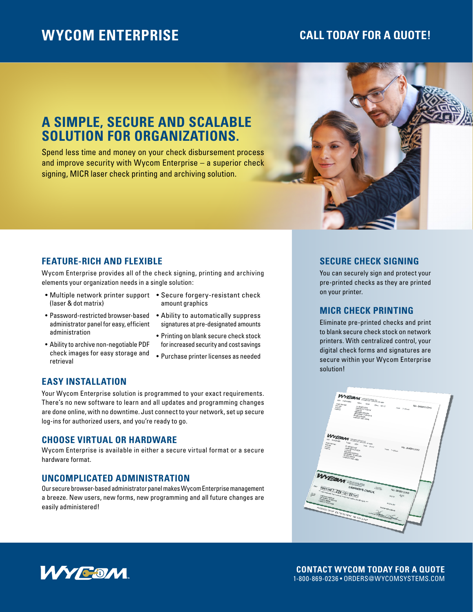# **WYCOM ENTERPRISE**

# **CALL TODAY FOR A QUOTE!**

# **A SIMPLE, SECURE AND SCALABLE SOLUTION FOR ORGANIZATIONS.**

Spend less time and money on your check disbursement process and improve security with Wycom Enterprise – a superior check signing, MICR laser check printing and archiving solution.



## **FEATURE-RICH AND FLEXIBLE**

Wycom Enterprise provides all of the check signing, printing and archiving elements your organization needs in a single solution:

- (laser & dot matrix)
- Password-restricted browser-based Ability to automatically suppress administrator panel for easy, efficient administration
- Ability to archive non-negotiable PDF check images for easy storage and retrieval
- Multiple network printer support Secure forgery-resistant check amount graphics
	- signatures at pre-designated amounts
	- Printing on blank secure check stock for increased security and cost savings
	- Purchase printer licenses as needed

#### **EASY INSTALLATION**

Your Wycom Enterprise solution is programmed to your exact requirements. There's no new software to learn and all updates and programming changes are done online, with no downtime. Just connect to your network, set up secure log-ins for authorized users, and you're ready to go.

#### **CHOOSE VIRTUAL OR HARDWARE**

Wycom Enterprise is available in either a secure virtual format or a secure hardware format.

#### **UNCOMPLICATED ADMINISTRATION**

Our secure browser-based administrator panel makes Wycom Enterprise management a breeze. New users, new forms, new programming and all future changes are easily administered!

#### **SECURE CHECK SIGNING**

You can securely sign and protect your pre-printed checks as they are printed on your printer.

### **MICR CHECK PRINTING**

Eliminate pre-printed checks and print to blank secure check stock on network printers. With centralized control, your digital check forms and signatures are secure within your Wycom Enterprise solution!